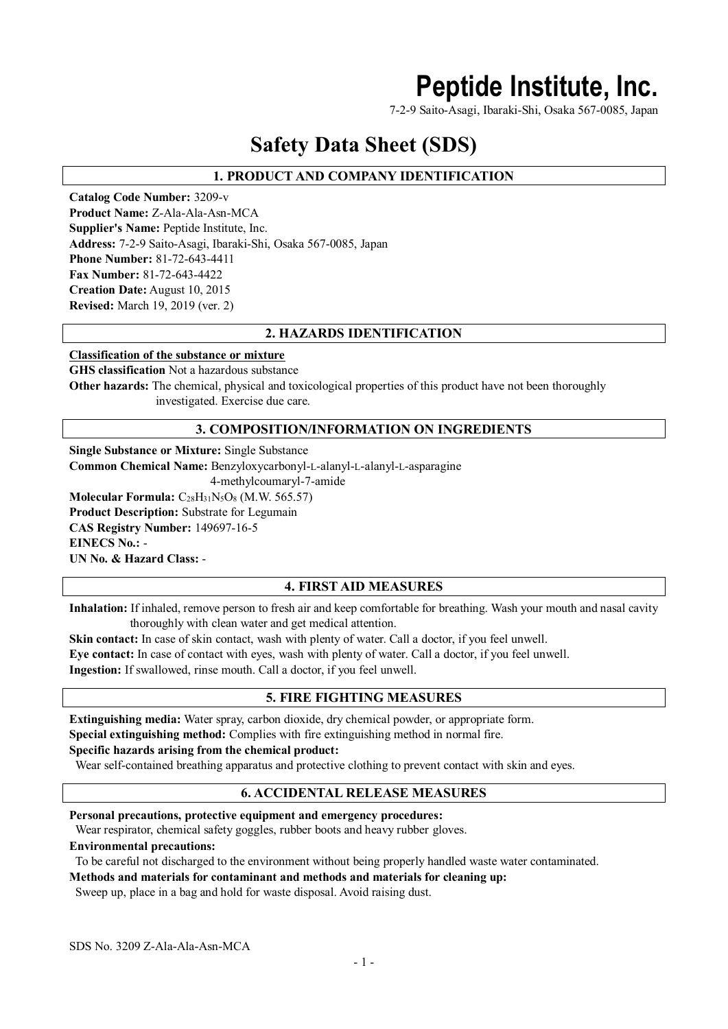# **Peptide Institute, Inc.**

7-2-9 Saito-Asagi, Ibaraki-Shi, Osaka 567-0085, Japan

# **Safety Data Sheet (SDS)**

# **1. PRODUCT AND COMPANY IDENTIFICATION**

**Catalog Code Number:** 3209-v **Product Name:** Z-Ala-Ala-Asn-MCA **Supplier's Name:** Peptide Institute, Inc. **Address:** 7-2-9 Saito-Asagi, Ibaraki-Shi, Osaka 567-0085, Japan **Phone Number:** 81-72-643-4411 **Fax Number:** 81-72-643-4422 **Creation Date:** August 10, 2015 **Revised:** March 19, 2019 (ver. 2)

# **2. HAZARDS IDENTIFICATION**

#### **Classification of the substance or mixture**

**GHS classification** Not a hazardous substance

**Other hazards:** The chemical, physical and toxicological properties of this product have not been thoroughly investigated. Exercise due care.

# **3. COMPOSITION/INFORMATION ON INGREDIENTS**

**Single Substance or Mixture:** Single Substance **Common Chemical Name:** Benzyloxycarbonyl-L-alanyl-L-alanyl-L-asparagine 4-methylcoumaryl-7-amide **Molecular Formula:** C<sub>28</sub>H<sub>31</sub>N<sub>5</sub>O<sub>8</sub> (M.W. 565.57) **Product Description:** Substrate for Legumain **CAS Registry Number:** 149697-16-5 **EINECS No.:** - **UN No. & Hazard Class:** -

# **4. FIRST AID MEASURES**

**Inhalation:** If inhaled, remove person to fresh air and keep comfortable for breathing. Wash your mouth and nasal cavity thoroughly with clean water and get medical attention.

**Skin contact:** In case of skin contact, wash with plenty of water. Call a doctor, if you feel unwell.

**Eye contact:** In case of contact with eyes, wash with plenty of water. Call a doctor, if you feel unwell.

**Ingestion:** If swallowed, rinse mouth. Call a doctor, if you feel unwell.

### **5. FIRE FIGHTING MEASURES**

**Extinguishing media:** Water spray, carbon dioxide, dry chemical powder, or appropriate form. **Special extinguishing method:** Complies with fire extinguishing method in normal fire.

#### **Specific hazards arising from the chemical product:**

Wear self-contained breathing apparatus and protective clothing to prevent contact with skin and eyes.

# **6. ACCIDENTAL RELEASE MEASURES**

**Personal precautions, protective equipment and emergency procedures:**

Wear respirator, chemical safety goggles, rubber boots and heavy rubber gloves.

#### **Environmental precautions:**

To be careful not discharged to the environment without being properly handled waste water contaminated.

**Methods and materials for contaminant and methods and materials for cleaning up:**

Sweep up, place in a bag and hold for waste disposal. Avoid raising dust.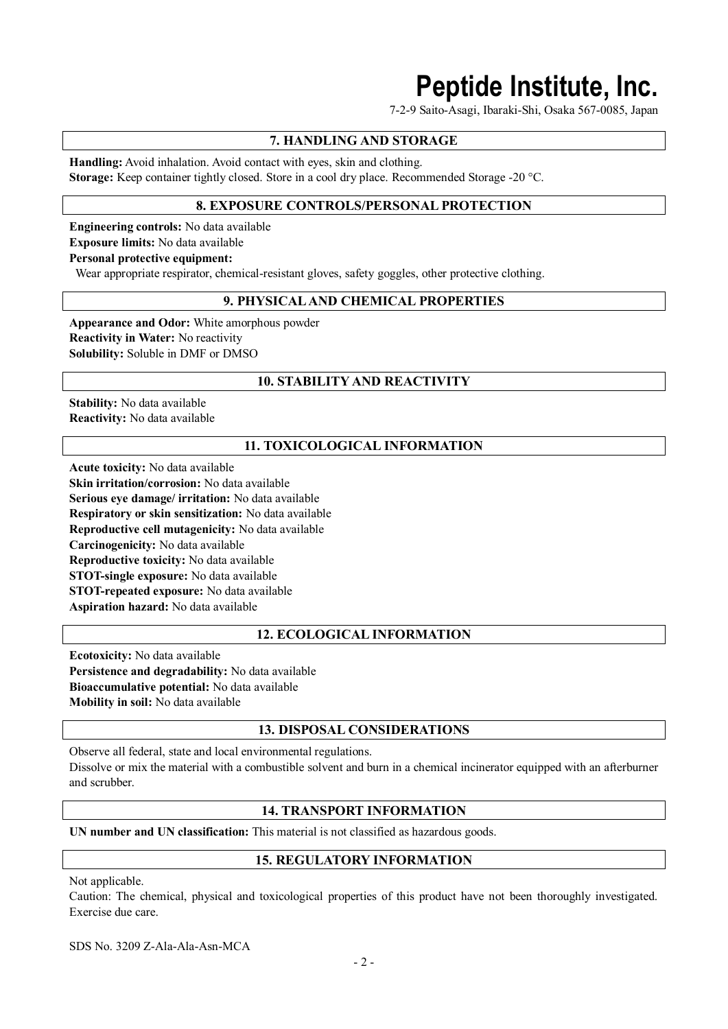# **Peptide Institute, Inc.**

7-2-9 Saito-Asagi, Ibaraki-Shi, Osaka 567-0085, Japan

# **7. HANDLING AND STORAGE**

**Handling:** Avoid inhalation. Avoid contact with eyes, skin and clothing. **Storage:** Keep container tightly closed. Store in a cool dry place. Recommended Storage -20 °C.

# **8. EXPOSURE CONTROLS/PERSONAL PROTECTION**

**Engineering controls:** No data available **Exposure limits:** No data available **Personal protective equipment:**

Wear appropriate respirator, chemical-resistant gloves, safety goggles, other protective clothing.

# **9. PHYSICAL AND CHEMICAL PROPERTIES**

**Appearance and Odor:** White amorphous powder **Reactivity in Water:** No reactivity **Solubility:** Soluble in DMF or DMSO

# **10. STABILITY AND REACTIVITY**

**Stability:** No data available **Reactivity:** No data available

# **11. TOXICOLOGICAL INFORMATION**

**Acute toxicity:** No data available **Skin irritation/corrosion:** No data available **Serious eye damage/ irritation:** No data available **Respiratory or skin sensitization:** No data available **Reproductive cell mutagenicity:** No data available **Carcinogenicity:** No data available **Reproductive toxicity:** No data available **STOT-single exposure:** No data available **STOT-repeated exposure:** No data available **Aspiration hazard:** No data available

### **12. ECOLOGICAL INFORMATION**

**Ecotoxicity:** No data available **Persistence and degradability:** No data available **Bioaccumulative potential:** No data available **Mobility in soil:** No data available

### **13. DISPOSAL CONSIDERATIONS**

Observe all federal, state and local environmental regulations. Dissolve or mix the material with a combustible solvent and burn in a chemical incinerator equipped with an afterburner and scrubber.

# **14. TRANSPORT INFORMATION**

**UN number and UN classification:** This material is not classified as hazardous goods.

### **15. REGULATORY INFORMATION**

Not applicable.

Caution: The chemical, physical and toxicological properties of this product have not been thoroughly investigated. Exercise due care.

SDS No. 3209 Z-Ala-Ala-Asn-MCA